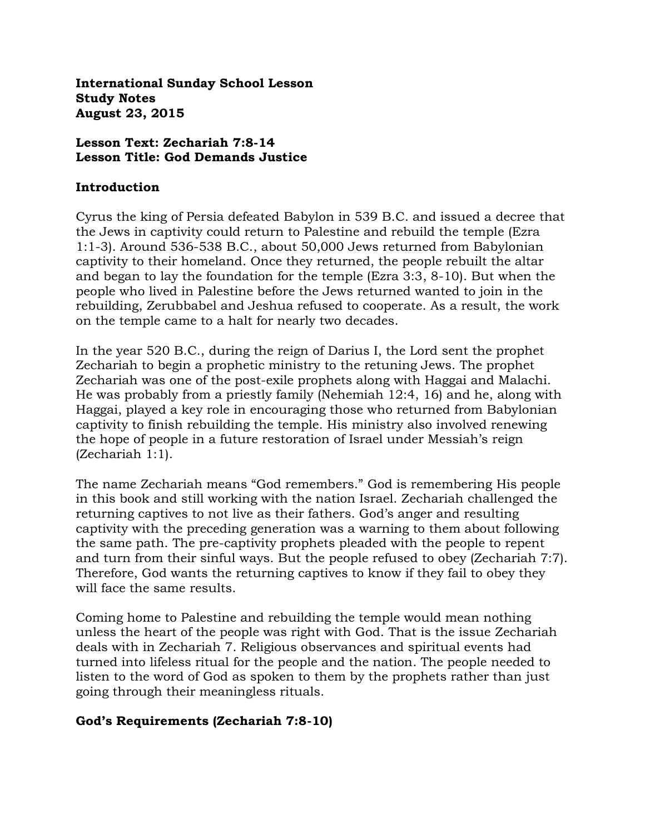**International Sunday School Lesson Study Notes August 23, 2015**

### **Lesson Text: Zechariah 7:8-14 Lesson Title: God Demands Justice**

#### **Introduction**

Cyrus the king of Persia defeated Babylon in 539 B.C. and issued a decree that the Jews in captivity could return to Palestine and rebuild the temple (Ezra 1:1-3). Around 536-538 B.C., about 50,000 Jews returned from Babylonian captivity to their homeland. Once they returned, the people rebuilt the altar and began to lay the foundation for the temple (Ezra 3:3, 8-10). But when the people who lived in Palestine before the Jews returned wanted to join in the rebuilding, Zerubbabel and Jeshua refused to cooperate. As a result, the work on the temple came to a halt for nearly two decades.

In the year 520 B.C., during the reign of Darius I, the Lord sent the prophet Zechariah to begin a prophetic ministry to the retuning Jews. The prophet Zechariah was one of the post-exile prophets along with Haggai and Malachi. He was probably from a priestly family (Nehemiah 12:4, 16) and he, along with Haggai, played a key role in encouraging those who returned from Babylonian captivity to finish rebuilding the temple. His ministry also involved renewing the hope of people in a future restoration of Israel under Messiah's reign (Zechariah 1:1).

The name Zechariah means "God remembers." God is remembering His people in this book and still working with the nation Israel. Zechariah challenged the returning captives to not live as their fathers. God's anger and resulting captivity with the preceding generation was a warning to them about following the same path. The pre-captivity prophets pleaded with the people to repent and turn from their sinful ways. But the people refused to obey (Zechariah 7:7). Therefore, God wants the returning captives to know if they fail to obey they will face the same results.

Coming home to Palestine and rebuilding the temple would mean nothing unless the heart of the people was right with God. That is the issue Zechariah deals with in Zechariah 7. Religious observances and spiritual events had turned into lifeless ritual for the people and the nation. The people needed to listen to the word of God as spoken to them by the prophets rather than just going through their meaningless rituals.

### **God's Requirements (Zechariah 7:8-10)**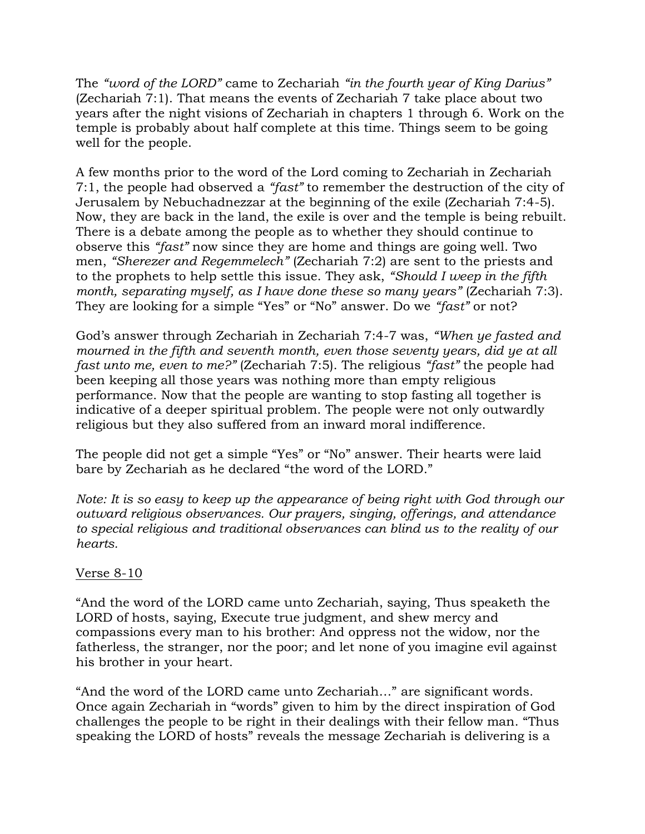The *"word of the LORD"* came to Zechariah *"in the fourth year of King Darius"*  (Zechariah 7:1). That means the events of Zechariah 7 take place about two years after the night visions of Zechariah in chapters 1 through 6. Work on the temple is probably about half complete at this time. Things seem to be going well for the people.

A few months prior to the word of the Lord coming to Zechariah in Zechariah 7:1, the people had observed a *"fast"* to remember the destruction of the city of Jerusalem by Nebuchadnezzar at the beginning of the exile (Zechariah 7:4-5). Now, they are back in the land, the exile is over and the temple is being rebuilt. There is a debate among the people as to whether they should continue to observe this *"fast"* now since they are home and things are going well. Two men, *"Sherezer and Regemmelech"* (Zechariah 7:2) are sent to the priests and to the prophets to help settle this issue. They ask, *"Should I weep in the fifth month, separating myself, as I have done these so many years*" (Zechariah 7:3). They are looking for a simple "Yes" or "No" answer. Do we *"fast"* or not?

God's answer through Zechariah in Zechariah 7:4-7 was, *"When ye fasted and mourned in the fifth and seventh month, even those seventy years, did ye at all fast unto me, even to me?"* (Zechariah 7:5). The religious *"fast"* the people had been keeping all those years was nothing more than empty religious performance. Now that the people are wanting to stop fasting all together is indicative of a deeper spiritual problem. The people were not only outwardly religious but they also suffered from an inward moral indifference.

The people did not get a simple "Yes" or "No" answer. Their hearts were laid bare by Zechariah as he declared "the word of the LORD."

*Note: It is so easy to keep up the appearance of being right with God through our outward religious observances. Our prayers, singing, offerings, and attendance to special religious and traditional observances can blind us to the reality of our hearts.* 

# Verse 8-10

"And the word of the LORD came unto Zechariah, saying, Thus speaketh the LORD of hosts, saying, Execute true judgment, and shew mercy and compassions every man to his brother: And oppress not the widow, nor the fatherless, the stranger, nor the poor; and let none of you imagine evil against his brother in your heart.

"And the word of the LORD came unto Zechariah…" are significant words. Once again Zechariah in "words" given to him by the direct inspiration of God challenges the people to be right in their dealings with their fellow man. "Thus speaking the LORD of hosts" reveals the message Zechariah is delivering is a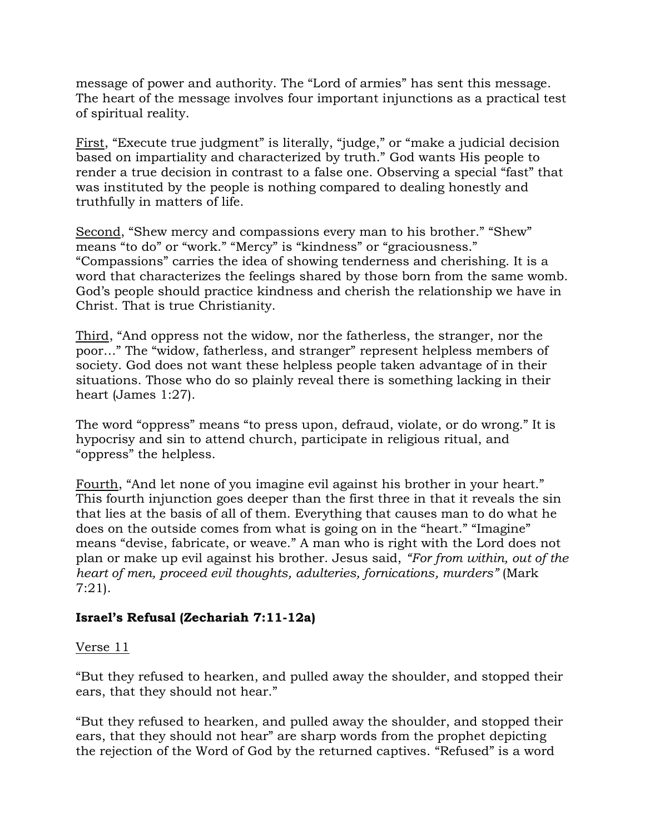message of power and authority. The "Lord of armies" has sent this message. The heart of the message involves four important injunctions as a practical test of spiritual reality.

First, "Execute true judgment" is literally, "judge," or "make a judicial decision based on impartiality and characterized by truth." God wants His people to render a true decision in contrast to a false one. Observing a special "fast" that was instituted by the people is nothing compared to dealing honestly and truthfully in matters of life.

Second, "Shew mercy and compassions every man to his brother." "Shew" means "to do" or "work." "Mercy" is "kindness" or "graciousness." "Compassions" carries the idea of showing tenderness and cherishing. It is a word that characterizes the feelings shared by those born from the same womb. God's people should practice kindness and cherish the relationship we have in Christ. That is true Christianity.

Third, "And oppress not the widow, nor the fatherless, the stranger, nor the poor…" The "widow, fatherless, and stranger" represent helpless members of society. God does not want these helpless people taken advantage of in their situations. Those who do so plainly reveal there is something lacking in their heart (James 1:27).

The word "oppress" means "to press upon, defraud, violate, or do wrong." It is hypocrisy and sin to attend church, participate in religious ritual, and "oppress" the helpless.

Fourth, "And let none of you imagine evil against his brother in your heart." This fourth injunction goes deeper than the first three in that it reveals the sin that lies at the basis of all of them. Everything that causes man to do what he does on the outside comes from what is going on in the "heart." "Imagine" means "devise, fabricate, or weave." A man who is right with the Lord does not plan or make up evil against his brother. Jesus said, *"For from within, out of the heart of men, proceed evil thoughts, adulteries, fornications, murders"* (Mark 7:21).

# **Israel's Refusal (Zechariah 7:11-12a)**

### Verse 11

"But they refused to hearken, and pulled away the shoulder, and stopped their ears, that they should not hear."

"But they refused to hearken, and pulled away the shoulder, and stopped their ears, that they should not hear" are sharp words from the prophet depicting the rejection of the Word of God by the returned captives. "Refused" is a word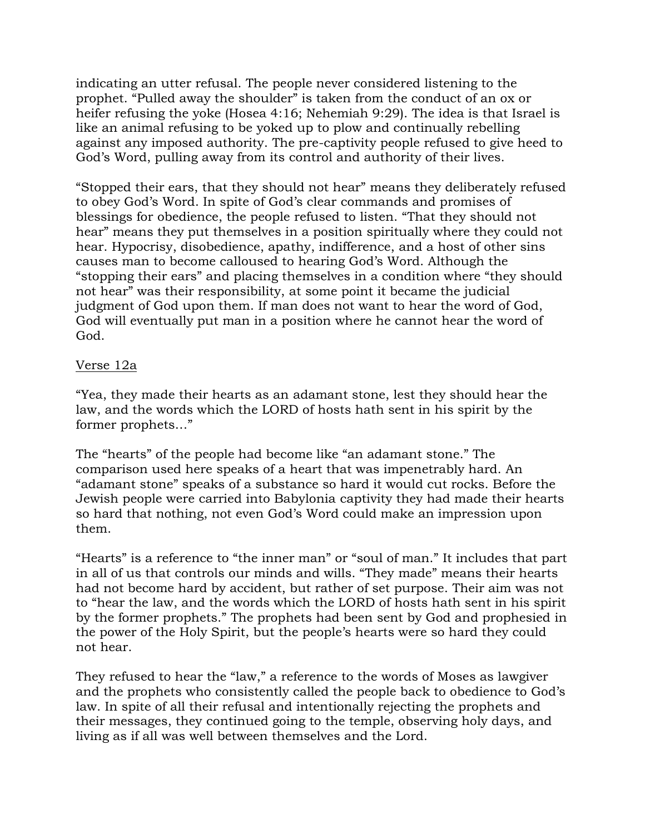indicating an utter refusal. The people never considered listening to the prophet. "Pulled away the shoulder" is taken from the conduct of an ox or heifer refusing the yoke (Hosea 4:16; Nehemiah 9:29). The idea is that Israel is like an animal refusing to be yoked up to plow and continually rebelling against any imposed authority. The pre-captivity people refused to give heed to God's Word, pulling away from its control and authority of their lives.

"Stopped their ears, that they should not hear" means they deliberately refused to obey God's Word. In spite of God's clear commands and promises of blessings for obedience, the people refused to listen. "That they should not hear" means they put themselves in a position spiritually where they could not hear. Hypocrisy, disobedience, apathy, indifference, and a host of other sins causes man to become calloused to hearing God's Word. Although the "stopping their ears" and placing themselves in a condition where "they should not hear" was their responsibility, at some point it became the judicial judgment of God upon them. If man does not want to hear the word of God, God will eventually put man in a position where he cannot hear the word of God.

## Verse 12a

"Yea, they made their hearts as an adamant stone, lest they should hear the law, and the words which the LORD of hosts hath sent in his spirit by the former prophets…"

The "hearts" of the people had become like "an adamant stone." The comparison used here speaks of a heart that was impenetrably hard. An "adamant stone" speaks of a substance so hard it would cut rocks. Before the Jewish people were carried into Babylonia captivity they had made their hearts so hard that nothing, not even God's Word could make an impression upon them.

"Hearts" is a reference to "the inner man" or "soul of man." It includes that part in all of us that controls our minds and wills. "They made" means their hearts had not become hard by accident, but rather of set purpose. Their aim was not to "hear the law, and the words which the LORD of hosts hath sent in his spirit by the former prophets." The prophets had been sent by God and prophesied in the power of the Holy Spirit, but the people's hearts were so hard they could not hear.

They refused to hear the "law," a reference to the words of Moses as lawgiver and the prophets who consistently called the people back to obedience to God's law. In spite of all their refusal and intentionally rejecting the prophets and their messages, they continued going to the temple, observing holy days, and living as if all was well between themselves and the Lord.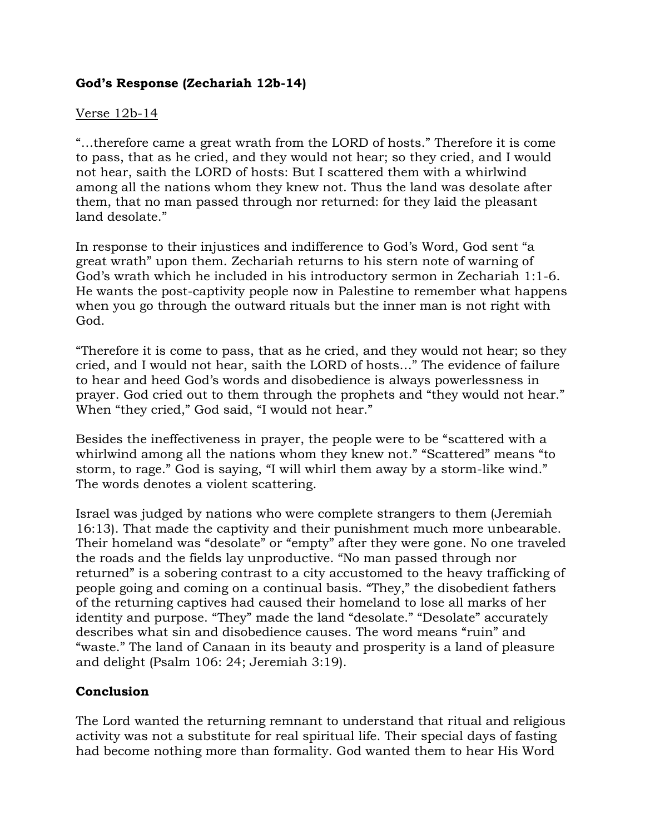## **God's Response (Zechariah 12b-14)**

### Verse 12b-14

"…therefore came a great wrath from the LORD of hosts." Therefore it is come to pass, that as he cried, and they would not hear; so they cried, and I would not hear, saith the LORD of hosts: But I scattered them with a whirlwind among all the nations whom they knew not. Thus the land was desolate after them, that no man passed through nor returned: for they laid the pleasant land desolate."

In response to their injustices and indifference to God's Word, God sent "a great wrath" upon them. Zechariah returns to his stern note of warning of God's wrath which he included in his introductory sermon in Zechariah 1:1-6. He wants the post-captivity people now in Palestine to remember what happens when you go through the outward rituals but the inner man is not right with God.

"Therefore it is come to pass, that as he cried, and they would not hear; so they cried, and I would not hear, saith the LORD of hosts…" The evidence of failure to hear and heed God's words and disobedience is always powerlessness in prayer. God cried out to them through the prophets and "they would not hear." When "they cried," God said, "I would not hear."

Besides the ineffectiveness in prayer, the people were to be "scattered with a whirlwind among all the nations whom they knew not." "Scattered" means "to storm, to rage." God is saying, "I will whirl them away by a storm-like wind." The words denotes a violent scattering.

Israel was judged by nations who were complete strangers to them (Jeremiah 16:13). That made the captivity and their punishment much more unbearable. Their homeland was "desolate" or "empty" after they were gone. No one traveled the roads and the fields lay unproductive. "No man passed through nor returned" is a sobering contrast to a city accustomed to the heavy trafficking of people going and coming on a continual basis. "They," the disobedient fathers of the returning captives had caused their homeland to lose all marks of her identity and purpose. "They" made the land "desolate." "Desolate" accurately describes what sin and disobedience causes. The word means "ruin" and "waste." The land of Canaan in its beauty and prosperity is a land of pleasure and delight (Psalm 106: 24; Jeremiah 3:19).

### **Conclusion**

The Lord wanted the returning remnant to understand that ritual and religious activity was not a substitute for real spiritual life. Their special days of fasting had become nothing more than formality. God wanted them to hear His Word